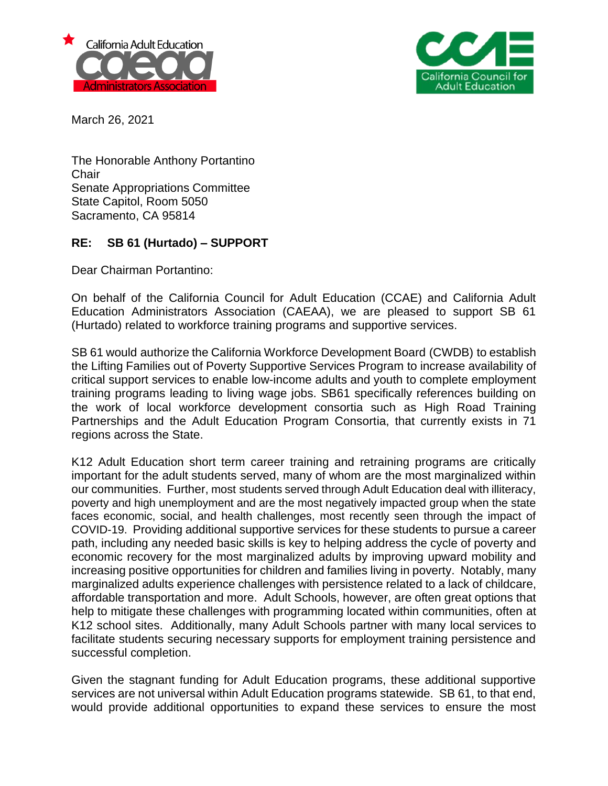



March 26, 2021

The Honorable Anthony Portantino **Chair** Senate Appropriations Committee State Capitol, Room 5050 Sacramento, CA 95814

## **RE: SB 61 (Hurtado) – SUPPORT**

Dear Chairman Portantino:

On behalf of the California Council for Adult Education (CCAE) and California Adult Education Administrators Association (CAEAA), we are pleased to support SB 61 (Hurtado) related to workforce training programs and supportive services.

SB 61 would authorize the California Workforce Development Board (CWDB) to establish the Lifting Families out of Poverty Supportive Services Program to increase availability of critical support services to enable low-income adults and youth to complete employment training programs leading to living wage jobs. SB61 specifically references building on the work of local workforce development consortia such as High Road Training Partnerships and the Adult Education Program Consortia, that currently exists in 71 regions across the State.

K12 Adult Education short term career training and retraining programs are critically important for the adult students served, many of whom are the most marginalized within our communities. Further, most students served through Adult Education deal with illiteracy, poverty and high unemployment and are the most negatively impacted group when the state faces economic, social, and health challenges, most recently seen through the impact of COVID-19. Providing additional supportive services for these students to pursue a career path, including any needed basic skills is key to helping address the cycle of poverty and economic recovery for the most marginalized adults by improving upward mobility and increasing positive opportunities for children and families living in poverty. Notably, many marginalized adults experience challenges with persistence related to a lack of childcare, affordable transportation and more. Adult Schools, however, are often great options that help to mitigate these challenges with programming located within communities, often at K12 school sites. Additionally, many Adult Schools partner with many local services to facilitate students securing necessary supports for employment training persistence and successful completion.

Given the stagnant funding for Adult Education programs, these additional supportive services are not universal within Adult Education programs statewide. SB 61, to that end, would provide additional opportunities to expand these services to ensure the most